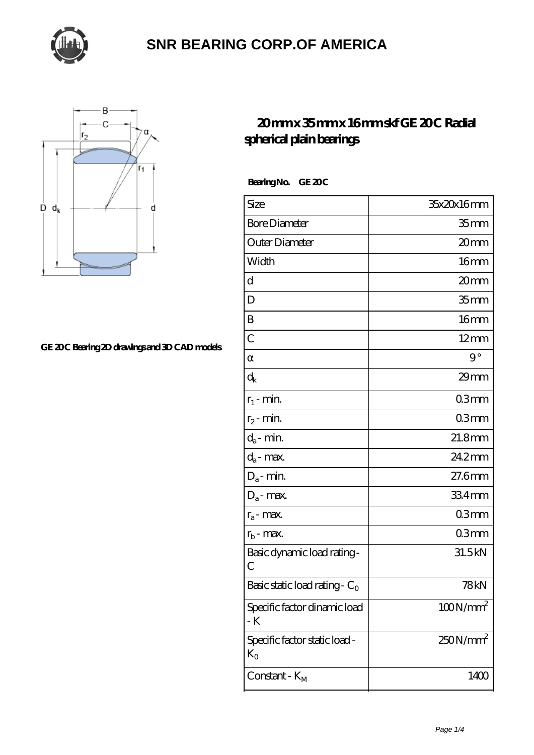



#### GE 20C Bearing 2D drawings and 3D CAD models

#### **[20 mm x 35 mm x 16 mm skf GE 20 C Radial](https://thebestofquebec.com/bd-64978388-skf-ge-20-c-radial-spherical-plain-bearings.html) [spherical plain bearings](https://thebestofquebec.com/bd-64978388-skf-ge-20-c-radial-spherical-plain-bearings.html)**

Bearing No. GE 20C

| Size                                   | 35x20x16mm           |
|----------------------------------------|----------------------|
| <b>Bore Diameter</b>                   | 35 mm                |
| Outer Diameter                         | 20mm                 |
| Width                                  | 16 <sub>mm</sub>     |
| d                                      | 20mm                 |
| D                                      | 35 <sub>mm</sub>     |
| B                                      | 16 <sub>mm</sub>     |
| $\overline{C}$                         | $12 \text{mm}$       |
|                                        | $9^{\circ}$          |
| $\rm{d}_k$                             | $29$ mm              |
| $r_1$ - min.                           | 03mm                 |
| $r_2$ - min.                           | 03mm                 |
| $d_a$ - min.                           | $21.8$ mm            |
| $d_a$ - max.                           | 24.2mm               |
| $D_a$ - min.                           | 27.6mm               |
| $D_a$ - max.                           | 334mm                |
| $r_a$ - max.                           | 03mm                 |
| $r_{b}$ - max.                         | 03mm                 |
| Basic dynamic load rating-<br>С        | 31.5kN               |
| Basic static load rating - $C_0$       | 78kN                 |
| Specific factor dinamic load<br>- K    | $100N/mm^2$          |
| Specific factor static load -<br>$K_0$ | 250N/mm <sup>2</sup> |
| Constant - $K_M$                       | 1400                 |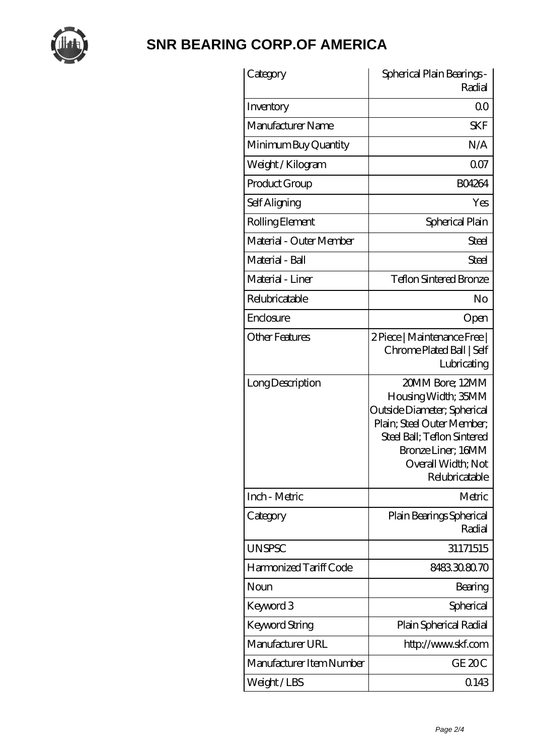

| Category                 | Spherical Plain Bearings -<br>Radial                                                                                                                                                             |
|--------------------------|--------------------------------------------------------------------------------------------------------------------------------------------------------------------------------------------------|
| Inventory                | Q0                                                                                                                                                                                               |
| Manufacturer Name        | <b>SKF</b>                                                                                                                                                                                       |
| Minimum Buy Quantity     | N/A                                                                                                                                                                                              |
| Weight / Kilogram        | 0 <sub>0</sub>                                                                                                                                                                                   |
| Product Group            | <b>BO4264</b>                                                                                                                                                                                    |
| Self Aligning            | Yes                                                                                                                                                                                              |
| Rolling Element          | Spherical Plain                                                                                                                                                                                  |
| Material - Outer Member  | Steel                                                                                                                                                                                            |
| Material - Ball          | Steel                                                                                                                                                                                            |
| Material - Liner         | <b>Teflon Sintered Bronze</b>                                                                                                                                                                    |
| Relubricatable           | No                                                                                                                                                                                               |
| Enclosure                | Open                                                                                                                                                                                             |
| <b>Other Features</b>    | 2 Piece   Maintenance Free  <br>Chrome Plated Ball   Self<br>Lubricating                                                                                                                         |
| Long Description         | 20MM Bore; 12MM<br>Housing Width; 35MM<br>Outside Diameter; Spherical<br>Plain; Steel Outer Member;<br>Steel Ball; Teflon Sintered<br>Bronze Liner; 16MM<br>Overall Width; Not<br>Relubricatable |
| Inch - Metric            | Metric                                                                                                                                                                                           |
| Category                 | Plain Bearings Spherical<br>Radial                                                                                                                                                               |
| <b>UNSPSC</b>            | 31171515                                                                                                                                                                                         |
| Harmonized Tariff Code   | 8483308070                                                                                                                                                                                       |
| Noun                     | Bearing                                                                                                                                                                                          |
| Keyword 3                | Spherical                                                                                                                                                                                        |
| Keyword String           | Plain Spherical Radial                                                                                                                                                                           |
| Manufacturer URL         | http://www.skf.com                                                                                                                                                                               |
| Manufacturer Item Number | GE <sub>20C</sub>                                                                                                                                                                                |
| Weight/LBS               | 0.143                                                                                                                                                                                            |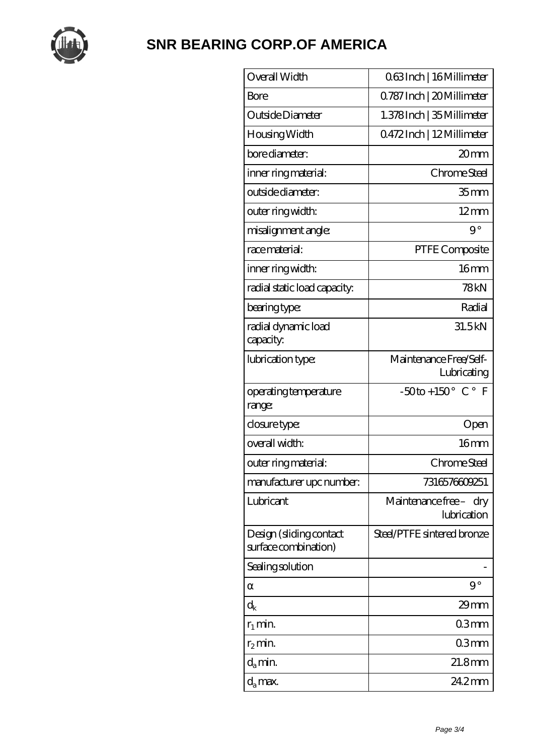

| Overall Width                                   | 063Inch   16 Millimeter                                  |
|-------------------------------------------------|----------------------------------------------------------|
| Bore                                            | 0.787 Inch   20 Millimeter                               |
| Outside Diameter                                | 1.378Inch   35 Millimeter                                |
| Housing Width                                   | 0472Inch   12Millimeter                                  |
| bore diameter:                                  | 20mm                                                     |
| inner ring material:                            | Chrome Steel                                             |
| outside diameter:                               | 35 <sub>mm</sub>                                         |
| outer ring width:                               | $12 \text{mm}$                                           |
| misalignment angle:                             | $9^{\circ}$                                              |
| race material:                                  | PTFE Composite                                           |
| inner ring width:                               | 16 <sub>mm</sub>                                         |
| radial static load capacity:                    | 78kN                                                     |
| bearing type:                                   | Radial                                                   |
| radial dynamic load<br>capacity:                | 31.5kN                                                   |
| lubrication type:                               | Maintenance Free/Self-<br>Lubricating                    |
| operating temperature<br>range:                 | $-50$ to + 150 $^{\circ}$ C $^{\circ}$<br>$\overline{F}$ |
| closure type:                                   | Open                                                     |
| overall width:                                  | 16mm                                                     |
| outer ring material:                            | Chrome Steel                                             |
| manufacturer upc number:                        | 7316576609251                                            |
| Lubricant                                       | Maintenance free - dry<br>lubrication                    |
| Design (sliding contact<br>surface combination) | Steel/PTFE sintered bronze                               |
| Sealing solution                                |                                                          |
|                                                 | $9^{\circ}$                                              |
| $\mathrm{d}_{\mathsf{k}}$                       | $29$ mm                                                  |
| $r_1$ min.                                      | 03 <sub>mm</sub>                                         |
| $r_2$ min.                                      | 03 <sub>mm</sub>                                         |
| $d_a$ min.                                      | $21.8$ mm                                                |
| d <sub>a</sub> max.                             | 24.2mm                                                   |